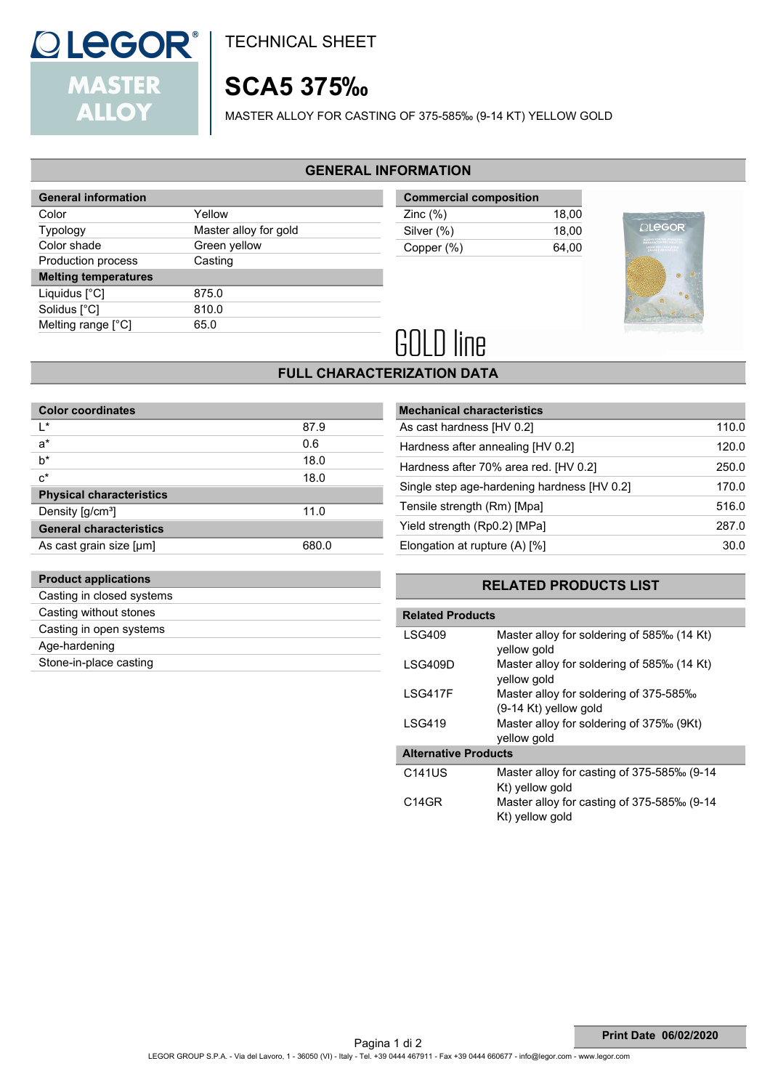

**Product applications** Casting in closed systems Casting without stones Casting in open systems

Age-hardening Stone-in-place casting TECHNICAL SHEET

## **SCA5 375‰**

MASTER ALLOY FOR CASTING OF 375-585‰ (9-14 KT) YELLOW GOLD

### **GENERAL INFORMATION**

| <b>General information</b>  |                       |
|-----------------------------|-----------------------|
| Color                       | Yellow                |
| <b>Typology</b>             | Master alloy for gold |
| Color shade                 | Green yellow          |
| Production process          | Casting               |
| <b>Melting temperatures</b> |                       |
| Liquidus $[^{\circ}C]$      | 875.0                 |
| Solidus [°C]                | 810.0                 |
| Melting range [°C]          | 65.0                  |
|                             |                       |

**Commercial composition** Zinc (%) 18,00 Silver (%) 18,00 Copper (%) 64,00



# **GOLD line**

### **FULL CHARACTERIZATION DATA**

| <b>Color coordinates</b>        |       |  |  |  |
|---------------------------------|-------|--|--|--|
| I*                              | 87.9  |  |  |  |
| $a^*$                           | 0.6   |  |  |  |
| $b^*$                           | 18.0  |  |  |  |
| $c^*$                           | 18.0  |  |  |  |
| <b>Physical characteristics</b> |       |  |  |  |
| Density [g/cm <sup>3</sup> ]    | 11.0  |  |  |  |
| <b>General characteristics</b>  |       |  |  |  |
| As cast grain size [µm]         | 680.0 |  |  |  |

| <b>Mechanical characteristics</b>           |       |
|---------------------------------------------|-------|
| As cast hardness [HV 0.2]                   | 110.0 |
| Hardness after annealing [HV 0.2]           | 120.0 |
| Hardness after 70% area red. [HV 0.2]       | 250.0 |
| Single step age-hardening hardness [HV 0.2] | 170.0 |
| Tensile strength (Rm) [Mpa]                 | 516.0 |
| Yield strength (Rp0.2) [MPa]                | 287.0 |
| Elongation at rupture $(A)$ [%]             | 30.0  |
|                                             |       |

### **RELATED PRODUCTS LIST**

| <b>Related Products</b>     |                                                                   |
|-----------------------------|-------------------------------------------------------------------|
| LSG409                      | Master alloy for soldering of 585‰ (14 Kt)<br>yellow gold         |
| LSG409D                     | Master alloy for soldering of 585‰ (14 Kt)<br>yellow gold         |
| LSG417F                     | Master alloy for soldering of 375-585‰<br>$(9-14$ Kt) yellow gold |
| I SG419                     | Master alloy for soldering of 375‰ (9Kt)<br>yellow gold           |
| <b>Alternative Products</b> |                                                                   |
| C141US                      | Master alloy for casting of 375-585‰ (9-14<br>Kt) yellow gold     |
| C <sub>14GR</sub>           | Master alloy for casting of 375-585‰ (9-14<br>Kt) yellow gold     |